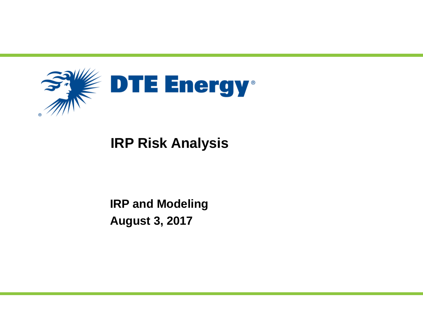

# **IRP Risk Analysis**

# **IRP and Modeling August 3, 2017**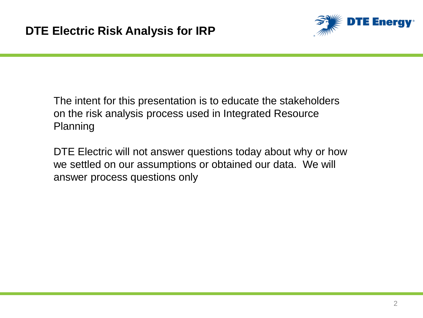

The intent for this presentation is to educate the stakeholders on the risk analysis process used in Integrated Resource Planning

DTE Electric will not answer questions today about why or how we settled on our assumptions or obtained our data. We will answer process questions only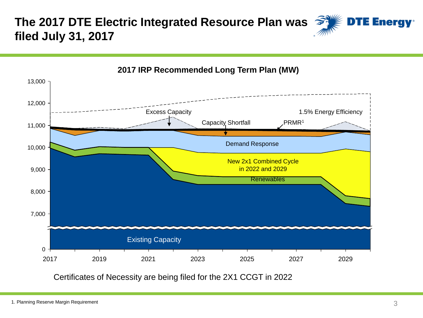#### **The 2017 DTE Electric Integrated Resource Plan was DTE Energy**<sup>®</sup> **filed July 31, 2017**



#### **2017 IRP Recommended Long Term Plan (MW)**

Certificates of Necessity are being filed for the 2X1 CCGT in 2022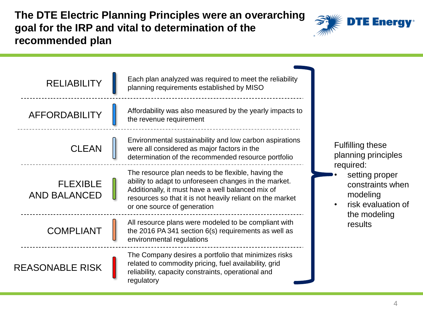**The DTE Electric Planning Principles were an overarching goal for the IRP and vital to determination of the recommended plan**



| <b>RELIABILITY</b>                     | Each plan analyzed was required to meet the reliability<br>planning requirements established by MISO                                                                                                                                                         |                                                                                   |
|----------------------------------------|--------------------------------------------------------------------------------------------------------------------------------------------------------------------------------------------------------------------------------------------------------------|-----------------------------------------------------------------------------------|
| <b>AFFORDABILITY</b>                   | Affordability was also measured by the yearly impacts to<br>the revenue requirement                                                                                                                                                                          |                                                                                   |
| <b>CLEAN</b>                           | Environmental sustainability and low carbon aspirations<br>were all considered as major factors in the<br>determination of the recommended resource portfolio                                                                                                | <b>Fulfilling these</b><br>planning principles                                    |
| <b>FLEXIBLE</b><br><b>AND BALANCED</b> | The resource plan needs to be flexible, having the<br>ability to adapt to unforeseen changes in the market.<br>Additionally, it must have a well balanced mix of<br>resources so that it is not heavily reliant on the market<br>or one source of generation | required:<br>setting proper<br>constraints when<br>modeling<br>risk evaluation of |
| <b>COMPLIANT</b>                       | All resource plans were modeled to be compliant with<br>the 2016 PA 341 section $6(s)$ requirements as well as<br>environmental regulations                                                                                                                  | the modeling<br>results                                                           |
| <b>REASONABLE RISK</b>                 | The Company desires a portfolio that minimizes risks<br>related to commodity pricing, fuel availability, grid<br>reliability, capacity constraints, operational and<br>regulatory                                                                            |                                                                                   |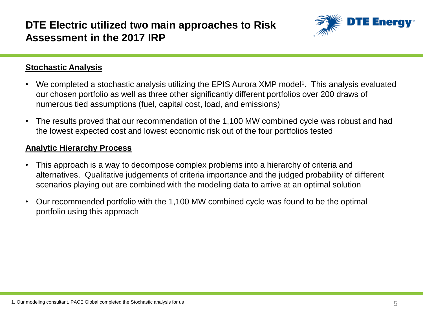### **DTE Electric utilized two main approaches to Risk Assessment in the 2017 IRP**



#### **Stochastic Analysis**

- We completed a stochastic analysis utilizing the EPIS Aurora XMP model<sup>1</sup>. This analysis evaluated our chosen portfolio as well as three other significantly different portfolios over 200 draws of numerous tied assumptions (fuel, capital cost, load, and emissions)
- The results proved that our recommendation of the 1,100 MW combined cycle was robust and had the lowest expected cost and lowest economic risk out of the four portfolios tested

#### **Analytic Hierarchy Process**

- This approach is a way to decompose complex problems into a hierarchy of criteria and alternatives. Qualitative judgements of criteria importance and the judged probability of different scenarios playing out are combined with the modeling data to arrive at an optimal solution
- Our recommended portfolio with the 1,100 MW combined cycle was found to be the optimal portfolio using this approach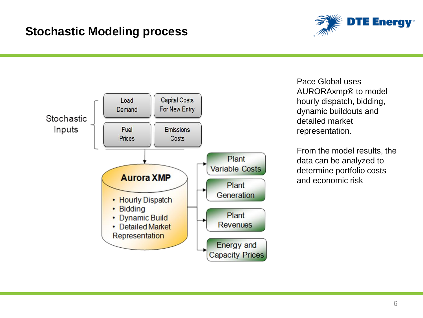### **Stochastic Modeling process**





Pace Global uses AURORAxmp® to model hourly dispatch, bidding, dynamic buildouts and detailed market representation.

From the model results, the data can be analyzed to determine portfolio costs and economic risk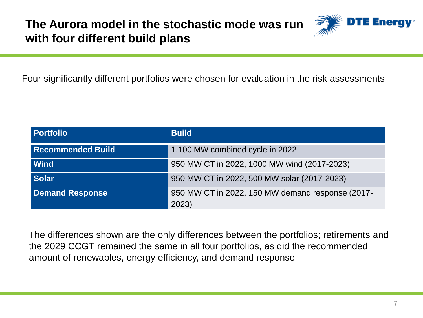

Four significantly different portfolios were chosen for evaluation in the risk assessments

| <b>Portfolio</b>         | <b>Build</b>                                     |
|--------------------------|--------------------------------------------------|
| <b>Recommended Build</b> | 1,100 MW combined cycle in 2022                  |
| Wind                     | 950 MW CT in 2022, 1000 MW wind (2017-2023)      |
| <b>Solar</b>             | 950 MW CT in 2022, 500 MW solar (2017-2023)      |
| <b>Demand Response</b>   | 950 MW CT in 2022, 150 MW demand response (2017- |
|                          | 2023)                                            |

The differences shown are the only differences between the portfolios; retirements and the 2029 CCGT remained the same in all four portfolios, as did the recommended amount of renewables, energy efficiency, and demand response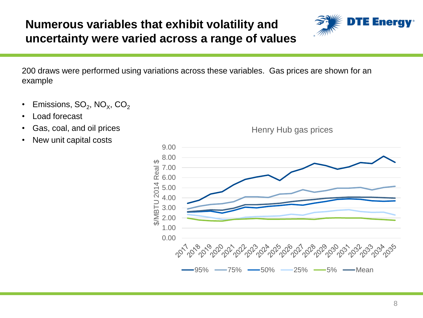### **Numerous variables that exhibit volatility and uncertainty were varied across a range of values**



200 draws were performed using variations across these variables. Gas prices are shown for an example

- Emissions, SO $_2$ , NO $_\mathrm{\chi}$ , CO $_2$
- Load forecast
- Gas, coal, and oil prices
- New unit capital costs



Henry Hub gas prices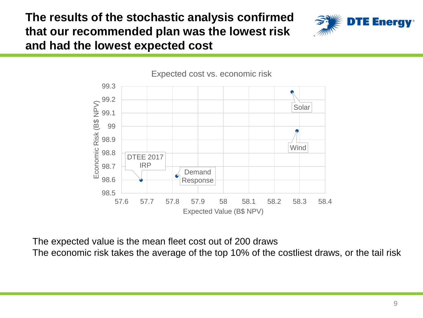**The results of the stochastic analysis confirmed that our recommended plan was the lowest risk and had the lowest expected cost**





The expected value is the mean fleet cost out of 200 draws

The economic risk takes the average of the top 10% of the costliest draws, or the tail risk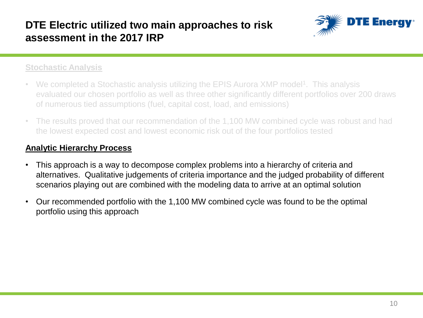### **DTE Electric utilized two main approaches to risk assessment in the 2017 IRP**



#### **Stochastic Analysis**

- We completed a Stochastic analysis utilizing the EPIS Aurora XMP model<sup>1</sup>. This analysis evaluated our chosen portfolio as well as three other significantly different portfolios over 200 draws of numerous tied assumptions (fuel, capital cost, load, and emissions)
- The results proved that our recommendation of the 1,100 MW combined cycle was robust and had the lowest expected cost and lowest economic risk out of the four portfolios tested

### **Analytic Hierarchy Process**

- This approach is a way to decompose complex problems into a hierarchy of criteria and alternatives. Qualitative judgements of criteria importance and the judged probability of different scenarios playing out are combined with the modeling data to arrive at an optimal solution
- Our recommended portfolio with the 1,100 MW combined cycle was found to be the optimal portfolio using this approach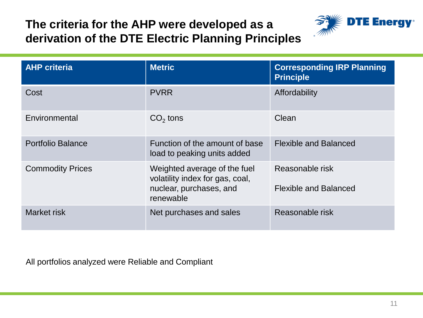## **The criteria for the AHP were developed as a derivation of the DTE Electric Planning Principles**



| <b>AHP</b> criteria      | <b>Metric</b>                                                                                           | <b>Corresponding IRP Planning</b><br><b>Principle</b> |
|--------------------------|---------------------------------------------------------------------------------------------------------|-------------------------------------------------------|
| Cost                     | <b>PVRR</b>                                                                                             | Affordability                                         |
| Environmental            | $CO2$ tons                                                                                              | Clean                                                 |
| <b>Portfolio Balance</b> | Function of the amount of base<br>load to peaking units added                                           | <b>Flexible and Balanced</b>                          |
| <b>Commodity Prices</b>  | Weighted average of the fuel<br>volatility index for gas, coal,<br>nuclear, purchases, and<br>renewable | Reasonable risk<br><b>Flexible and Balanced</b>       |
| Market risk              | Net purchases and sales                                                                                 | Reasonable risk                                       |

All portfolios analyzed were Reliable and Compliant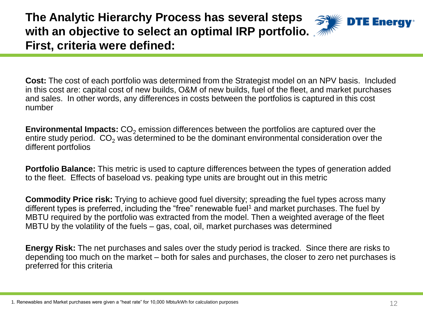**The Analytic Hierarchy Process has several steps with an objective to select an optimal IRP portfolio. First, criteria were defined:**



**Cost:** The cost of each portfolio was determined from the Strategist model on an NPV basis. Included in this cost are: capital cost of new builds, O&M of new builds, fuel of the fleet, and market purchases and sales. In other words, any differences in costs between the portfolios is captured in this cost number

**Environmental Impacts:** CO<sub>2</sub> emission differences between the portfolios are captured over the entire study period.  $CO<sub>2</sub>$  was determined to be the dominant environmental consideration over the different portfolios

**Portfolio Balance:** This metric is used to capture differences between the types of generation added to the fleet. Effects of baseload vs. peaking type units are brought out in this metric

**Commodity Price risk:** Trying to achieve good fuel diversity; spreading the fuel types across many different types is preferred, including the "free" renewable fuel<sup>1</sup> and market purchases. The fuel by MBTU required by the portfolio was extracted from the model. Then a weighted average of the fleet MBTU by the volatility of the fuels – gas, coal, oil, market purchases was determined

**Energy Risk:** The net purchases and sales over the study period is tracked. Since there are risks to depending too much on the market – both for sales and purchases, the closer to zero net purchases is preferred for this criteria

<sup>1.</sup> Renewables and Market purchases were given a "heat rate" for 10,000 Mbtu/kWh for calculation purposes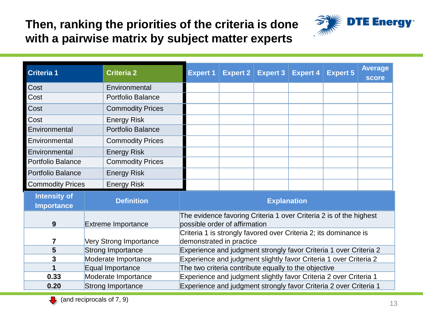## **Then, ranking the priorities of the criteria is done with a pairwise matrix by subject matter experts**



| <b>Criteria 1</b>                        |                          | <b>Criteria 2</b>         | <b>Expert 1</b>                                                                              |  | <b>Expert 2 Expert 3 Expert 4</b> |  | <b>Expert 5</b> | <b>Average</b><br><b>score</b> |
|------------------------------------------|--------------------------|---------------------------|----------------------------------------------------------------------------------------------|--|-----------------------------------|--|-----------------|--------------------------------|
| Cost                                     |                          | Environmental             |                                                                                              |  |                                   |  |                 |                                |
| Cost                                     |                          | <b>Portfolio Balance</b>  |                                                                                              |  |                                   |  |                 |                                |
| Cost                                     |                          | <b>Commodity Prices</b>   |                                                                                              |  |                                   |  |                 |                                |
| Cost                                     |                          | <b>Energy Risk</b>        |                                                                                              |  |                                   |  |                 |                                |
| Environmental                            |                          | <b>Portfolio Balance</b>  |                                                                                              |  |                                   |  |                 |                                |
| Environmental                            |                          | <b>Commodity Prices</b>   |                                                                                              |  |                                   |  |                 |                                |
| Environmental                            |                          | <b>Energy Risk</b>        |                                                                                              |  |                                   |  |                 |                                |
| <b>Portfolio Balance</b>                 |                          | <b>Commodity Prices</b>   |                                                                                              |  |                                   |  |                 |                                |
| <b>Portfolio Balance</b>                 |                          | <b>Energy Risk</b>        |                                                                                              |  |                                   |  |                 |                                |
| <b>Commodity Prices</b>                  |                          | <b>Energy Risk</b>        |                                                                                              |  |                                   |  |                 |                                |
| <b>Intensity of</b><br><b>Importance</b> |                          | <b>Definition</b>         | <b>Explanation</b>                                                                           |  |                                   |  |                 |                                |
|                                          |                          |                           | The evidence favoring Criteria 1 over Criteria 2 is of the highest                           |  |                                   |  |                 |                                |
| 9                                        |                          | <b>Extreme Importance</b> | possible order of affirmation                                                                |  |                                   |  |                 |                                |
| 7                                        |                          | Very Strong Importance    | Criteria 1 is strongly favored over Criteria 2; its dominance is<br>demonstrated in practice |  |                                   |  |                 |                                |
| 5                                        | <b>Strong Importance</b> |                           | Experience and judgment strongly favor Criteria 1 over Criteria 2                            |  |                                   |  |                 |                                |
| 3                                        |                          | Moderate Importance       | Experience and judgment slightly favor Criteria 1 over Criteria 2                            |  |                                   |  |                 |                                |
| 1                                        |                          | Equal Importance          | The two criteria contribute equally to the objective                                         |  |                                   |  |                 |                                |
| 0.33                                     |                          | Moderate Importance       | Experience and judgment slightly favor Criteria 2 over Criteria 1                            |  |                                   |  |                 |                                |
| 0.20                                     | <b>Strong Importance</b> |                           | Experience and judgment strongly favor Criteria 2 over Criteria 1                            |  |                                   |  |                 |                                |

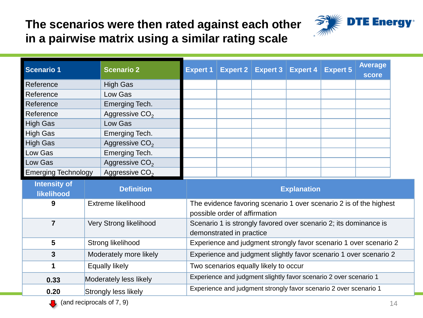### **The scenarios were then rated against each other in a pairwise matrix using a similar rating scale**



| <b>Scenario 1</b>                 |                        | <b>Scenario 2</b>          | <b>Expert 1</b> | Expert 2                                                          | Expert $3$ | <b>Expert 4</b> | <b>Expert 5</b>                                                    | <b>Average</b><br>score |
|-----------------------------------|------------------------|----------------------------|-----------------|-------------------------------------------------------------------|------------|-----------------|--------------------------------------------------------------------|-------------------------|
| Reference                         |                        | <b>High Gas</b>            |                 |                                                                   |            |                 |                                                                    |                         |
| Reference                         |                        | Low Gas                    |                 |                                                                   |            |                 |                                                                    |                         |
| Reference                         |                        | Emerging Tech.             |                 |                                                                   |            |                 |                                                                    |                         |
| Reference                         |                        | Aggressive CO <sub>2</sub> |                 |                                                                   |            |                 |                                                                    |                         |
| <b>High Gas</b>                   |                        | Low Gas                    |                 |                                                                   |            |                 |                                                                    |                         |
| <b>High Gas</b>                   |                        | Emerging Tech.             |                 |                                                                   |            |                 |                                                                    |                         |
| <b>High Gas</b>                   |                        | Aggressive CO <sub>2</sub> |                 |                                                                   |            |                 |                                                                    |                         |
| Low Gas                           |                        | Emerging Tech.             |                 |                                                                   |            |                 |                                                                    |                         |
| Low Gas                           |                        | Aggressive CO <sub>2</sub> |                 |                                                                   |            |                 |                                                                    |                         |
| <b>Emerging Technology</b>        |                        | Aggressive CO <sub>2</sub> |                 |                                                                   |            |                 |                                                                    |                         |
| <b>Intensity of</b><br>likelihood | <b>Definition</b>      |                            |                 | <b>Explanation</b>                                                |            |                 |                                                                    |                         |
| 9                                 |                        | Extreme likelihood         |                 | possible order of affirmation                                     |            |                 | The evidence favoring scenario 1 over scenario 2 is of the highest |                         |
| $\overline{7}$                    | Very Strong likelihood |                            |                 | demonstrated in practice                                          |            |                 | Scenario 1 is strongly favored over scenario 2; its dominance is   |                         |
| 5                                 |                        | Strong likelihood          |                 | Experience and judgment strongly favor scenario 1 over scenario 2 |            |                 |                                                                    |                         |
| $\mathbf{3}$                      | Moderately more likely |                            |                 | Experience and judgment slightly favor scenario 1 over scenario 2 |            |                 |                                                                    |                         |
| 1                                 |                        | <b>Equally likely</b>      |                 | Two scenarios equally likely to occur                             |            |                 |                                                                    |                         |
| 0.33                              | Moderately less likely |                            |                 | Experience and judgment slightly favor scenario 2 over scenario 1 |            |                 |                                                                    |                         |
| 0.20                              | Strongly less likely   |                            |                 |                                                                   |            |                 | Experience and judgment strongly favor scenario 2 over scenario 1  |                         |

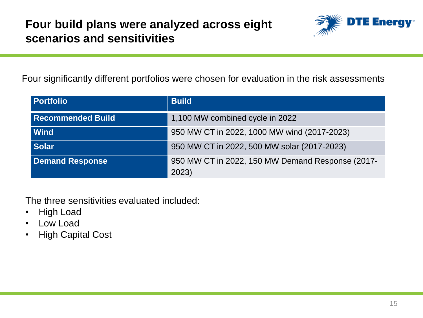

Four significantly different portfolios were chosen for evaluation in the risk assessments

| <b>Portfolio</b>         | <b>Build</b>                                              |
|--------------------------|-----------------------------------------------------------|
| <b>Recommended Build</b> | 1,100 MW combined cycle in 2022                           |
| <b>Wind</b>              | 950 MW CT in 2022, 1000 MW wind (2017-2023)               |
| <b>Solar</b>             | 950 MW CT in 2022, 500 MW solar (2017-2023)               |
| <b>Demand Response</b>   | 950 MW CT in 2022, 150 MW Demand Response (2017-<br>2023) |

The three sensitivities evaluated included:

- High Load
- Low Load
- High Capital Cost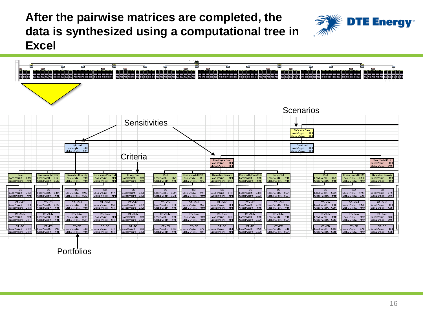**After the pairwise matrices are completed, the data is synthesized using a computational tree in Excel**





Portfolios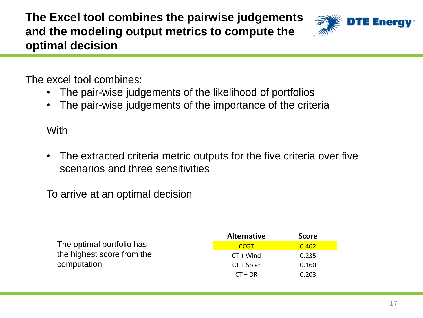**The Excel tool combines the pairwise judgements and the modeling output metrics to compute the optimal decision**



The excel tool combines:

- The pair-wise judgements of the likelihood of portfolios
- The pair-wise judgements of the importance of the criteria

**With** 

• The extracted criteria metric outputs for the five criteria over five scenarios and three sensitivities

To arrive at an optimal decision

|                            | <b>Alternative</b> | <b>Score</b> |
|----------------------------|--------------------|--------------|
| The optimal portfolio has  | <b>CCGT</b>        | 0.402        |
| the highest score from the | $CT + Wind$        | 0.235        |
| computation                | $CT + Solar$       | 0.160        |
|                            | $CT + DR$          | 0.203        |